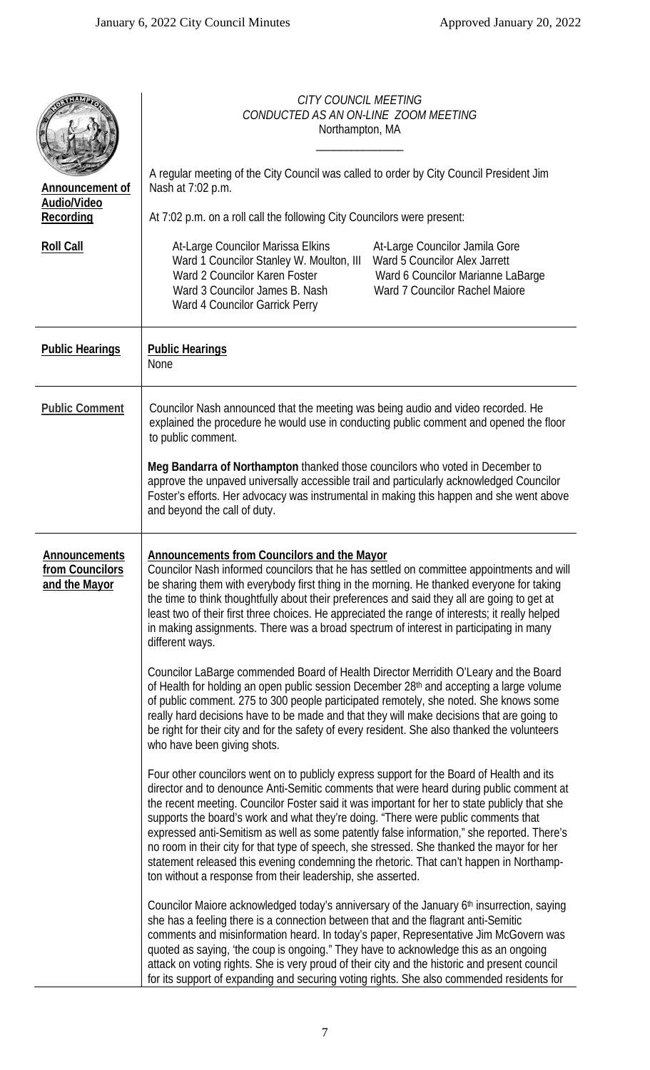| <b>Announcement of</b><br>Audio/Video<br>Recording       | <b>CITY COUNCIL MEETING</b><br>CONDUCTED AS AN ON-LINE ZOOM MEETING<br>Northampton, MA<br>A regular meeting of the City Council was called to order by City Council President Jim<br>Nash at 7:02 p.m.<br>At 7:02 p.m. on a roll call the following City Councilors were present:                                                                                                                                                                                                                                                                                                                                                                                                                                                                                                                                                                                                                                                                                                                                                                                                                                                                                                                                                                                                                                                                                                                                                                                                                                                                                                                                                                                                                                                                                                                                                                                                                                                                                                                                                                                                                                                                                                                                                                                                          |  |  |
|----------------------------------------------------------|--------------------------------------------------------------------------------------------------------------------------------------------------------------------------------------------------------------------------------------------------------------------------------------------------------------------------------------------------------------------------------------------------------------------------------------------------------------------------------------------------------------------------------------------------------------------------------------------------------------------------------------------------------------------------------------------------------------------------------------------------------------------------------------------------------------------------------------------------------------------------------------------------------------------------------------------------------------------------------------------------------------------------------------------------------------------------------------------------------------------------------------------------------------------------------------------------------------------------------------------------------------------------------------------------------------------------------------------------------------------------------------------------------------------------------------------------------------------------------------------------------------------------------------------------------------------------------------------------------------------------------------------------------------------------------------------------------------------------------------------------------------------------------------------------------------------------------------------------------------------------------------------------------------------------------------------------------------------------------------------------------------------------------------------------------------------------------------------------------------------------------------------------------------------------------------------------------------------------------------------------------------------------------------------|--|--|
| <b>Roll Call</b>                                         | At-Large Councilor Marissa Elkins<br>At-Large Councilor Jamila Gore<br>Ward 5 Councilor Alex Jarrett<br>Ward 1 Councilor Stanley W. Moulton, III<br>Ward 2 Councilor Karen Foster<br>Ward 6 Councilor Marianne LaBarge<br>Ward 3 Councilor James B. Nash<br>Ward 7 Councilor Rachel Maiore<br>Ward 4 Councilor Garrick Perry                                                                                                                                                                                                                                                                                                                                                                                                                                                                                                                                                                                                                                                                                                                                                                                                                                                                                                                                                                                                                                                                                                                                                                                                                                                                                                                                                                                                                                                                                                                                                                                                                                                                                                                                                                                                                                                                                                                                                               |  |  |
| <b>Public Hearings</b>                                   | <b>Public Hearings</b><br>None                                                                                                                                                                                                                                                                                                                                                                                                                                                                                                                                                                                                                                                                                                                                                                                                                                                                                                                                                                                                                                                                                                                                                                                                                                                                                                                                                                                                                                                                                                                                                                                                                                                                                                                                                                                                                                                                                                                                                                                                                                                                                                                                                                                                                                                             |  |  |
| <b>Public Comment</b>                                    | Councilor Nash announced that the meeting was being audio and video recorded. He<br>explained the procedure he would use in conducting public comment and opened the floor<br>to public comment.<br>Meg Bandarra of Northampton thanked those councilors who voted in December to<br>approve the unpaved universally accessible trail and particularly acknowledged Councilor<br>Foster's efforts. Her advocacy was instrumental in making this happen and she went above<br>and beyond the call of duty.                                                                                                                                                                                                                                                                                                                                                                                                                                                                                                                                                                                                                                                                                                                                                                                                                                                                                                                                                                                                                                                                                                                                                                                                                                                                                                                                                                                                                                                                                                                                                                                                                                                                                                                                                                                  |  |  |
| <b>Announcements</b><br>from Councilors<br>and the Mayor | <b>Announcements from Councilors and the Mayor</b><br>Councilor Nash informed councilors that he has settled on committee appointments and will<br>be sharing them with everybody first thing in the morning. He thanked everyone for taking<br>the time to think thoughtfully about their preferences and said they all are going to get at<br>least two of their first three choices. He appreciated the range of interests; it really helped<br>in making assignments. There was a broad spectrum of interest in participating in many<br>different ways.<br>Councilor LaBarge commended Board of Health Director Merridith O'Leary and the Board<br>of Health for holding an open public session December 28 <sup>th</sup> and accepting a large volume<br>of public comment. 275 to 300 people participated remotely, she noted. She knows some<br>really hard decisions have to be made and that they will make decisions that are going to<br>be right for their city and for the safety of every resident. She also thanked the volunteers<br>who have been giving shots.<br>Four other councilors went on to publicly express support for the Board of Health and its<br>director and to denounce Anti-Semitic comments that were heard during public comment at<br>the recent meeting. Councilor Foster said it was important for her to state publicly that she<br>supports the board's work and what they're doing. "There were public comments that<br>expressed anti-Semitism as well as some patently false information," she reported. There's<br>no room in their city for that type of speech, she stressed. She thanked the mayor for her<br>statement released this evening condemning the rhetoric. That can't happen in Northamp-<br>ton without a response from their leadership, she asserted.<br>Councilor Maiore acknowledged today's anniversary of the January 6th insurrection, saying<br>she has a feeling there is a connection between that and the flagrant anti-Semitic<br>comments and misinformation heard. In today's paper, Representative Jim McGovern was<br>quoted as saying, 'the coup is ongoing." They have to acknowledge this as an ongoing<br>attack on voting rights. She is very proud of their city and the historic and present council |  |  |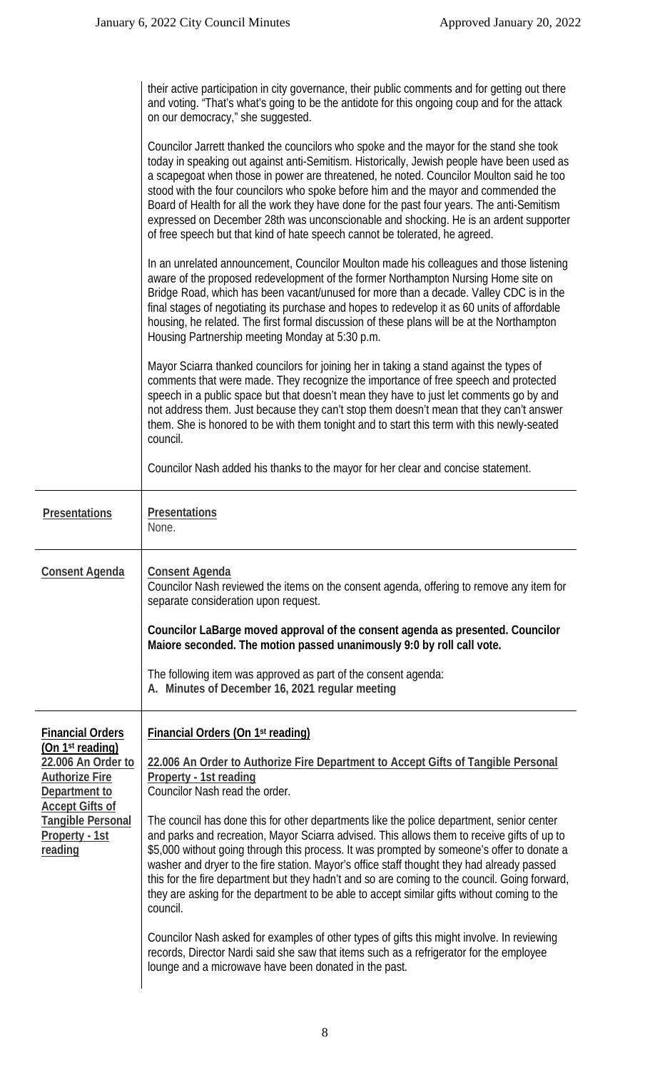|                                                                                                                                                                                                            | their active participation in city governance, their public comments and for getting out there<br>and voting. "That's what's going to be the antidote for this ongoing coup and for the attack<br>on our democracy," she suggested.                                                                                                                                                                                                                                                                                                                                                                                                           |
|------------------------------------------------------------------------------------------------------------------------------------------------------------------------------------------------------------|-----------------------------------------------------------------------------------------------------------------------------------------------------------------------------------------------------------------------------------------------------------------------------------------------------------------------------------------------------------------------------------------------------------------------------------------------------------------------------------------------------------------------------------------------------------------------------------------------------------------------------------------------|
|                                                                                                                                                                                                            | Councilor Jarrett thanked the councilors who spoke and the mayor for the stand she took<br>today in speaking out against anti-Semitism. Historically, Jewish people have been used as<br>a scapegoat when those in power are threatened, he noted. Councilor Moulton said he too<br>stood with the four councilors who spoke before him and the mayor and commended the<br>Board of Health for all the work they have done for the past four years. The anti-Semitism<br>expressed on December 28th was unconscionable and shocking. He is an ardent supporter<br>of free speech but that kind of hate speech cannot be tolerated, he agreed. |
|                                                                                                                                                                                                            | In an unrelated announcement, Councilor Moulton made his colleagues and those listening<br>aware of the proposed redevelopment of the former Northampton Nursing Home site on<br>Bridge Road, which has been vacant/unused for more than a decade. Valley CDC is in the<br>final stages of negotiating its purchase and hopes to redevelop it as 60 units of affordable<br>housing, he related. The first formal discussion of these plans will be at the Northampton<br>Housing Partnership meeting Monday at 5:30 p.m.                                                                                                                      |
|                                                                                                                                                                                                            | Mayor Sciarra thanked councilors for joining her in taking a stand against the types of<br>comments that were made. They recognize the importance of free speech and protected<br>speech in a public space but that doesn't mean they have to just let comments go by and<br>not address them. Just because they can't stop them doesn't mean that they can't answer<br>them. She is honored to be with them tonight and to start this term with this newly-seated<br>council.                                                                                                                                                                |
|                                                                                                                                                                                                            | Councilor Nash added his thanks to the mayor for her clear and concise statement.                                                                                                                                                                                                                                                                                                                                                                                                                                                                                                                                                             |
| Presentations                                                                                                                                                                                              | <b>Presentations</b><br>None.                                                                                                                                                                                                                                                                                                                                                                                                                                                                                                                                                                                                                 |
| <b>Consent Agenda</b>                                                                                                                                                                                      | <b>Consent Agenda</b><br>Councilor Nash reviewed the items on the consent agenda, offering to remove any item for<br>separate consideration upon request.                                                                                                                                                                                                                                                                                                                                                                                                                                                                                     |
|                                                                                                                                                                                                            | Councilor LaBarge moved approval of the consent agenda as presented. Councilor<br>Maiore seconded. The motion passed unanimously 9:0 by roll call vote.                                                                                                                                                                                                                                                                                                                                                                                                                                                                                       |
|                                                                                                                                                                                                            | The following item was approved as part of the consent agenda:<br>A. Minutes of December 16, 2021 regular meeting                                                                                                                                                                                                                                                                                                                                                                                                                                                                                                                             |
| <b>Financial Orders</b><br>(On 1 <sup>st</sup> reading)<br>22.006 An Order to<br><b>Authorize Fire</b><br>Department to<br><b>Accept Gifts of</b><br><b>Tangible Personal</b><br>Property - 1st<br>reading | Financial Orders (On 1 <sup>st</sup> reading)                                                                                                                                                                                                                                                                                                                                                                                                                                                                                                                                                                                                 |
|                                                                                                                                                                                                            | 22.006 An Order to Authorize Fire Department to Accept Gifts of Tangible Personal<br>Property - 1st reading<br>Councilor Nash read the order.                                                                                                                                                                                                                                                                                                                                                                                                                                                                                                 |
|                                                                                                                                                                                                            | The council has done this for other departments like the police department, senior center<br>and parks and recreation, Mayor Sciarra advised. This allows them to receive gifts of up to<br>\$5,000 without going through this process. It was prompted by someone's offer to donate a<br>washer and dryer to the fire station. Mayor's office staff thought they had already passed<br>this for the fire department but they hadn't and so are coming to the council. Going forward,<br>they are asking for the department to be able to accept similar gifts without coming to the<br>council.                                              |
|                                                                                                                                                                                                            |                                                                                                                                                                                                                                                                                                                                                                                                                                                                                                                                                                                                                                               |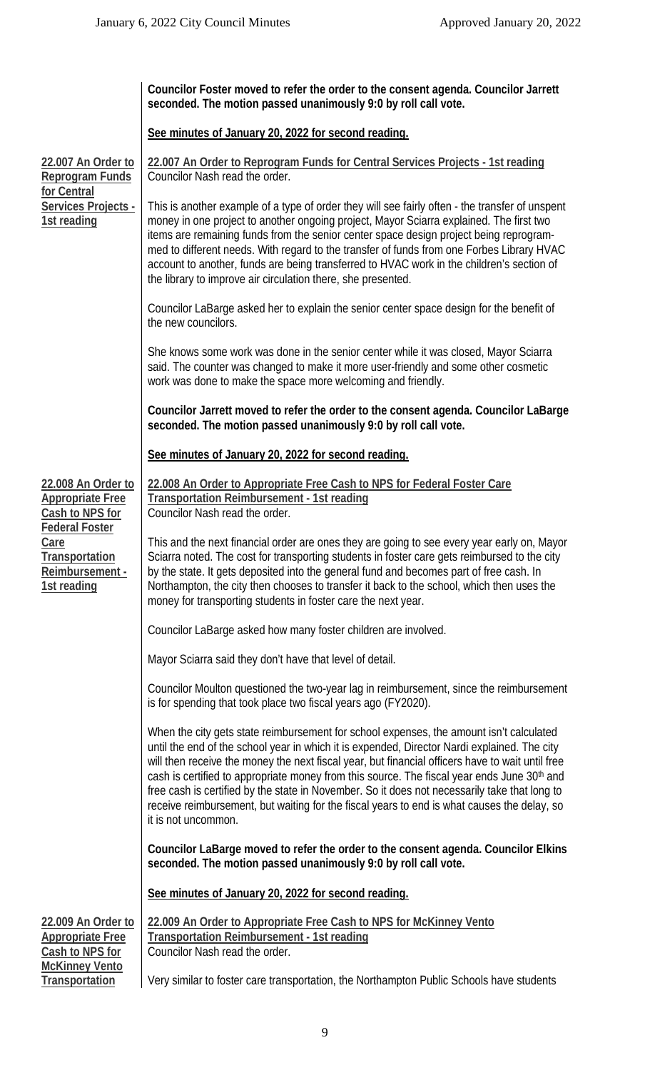|                                                                                                                                                              | Councilor Foster moved to refer the order to the consent agenda. Councilor Jarrett<br>seconded. The motion passed unanimously 9:0 by roll call vote.                                                                                                                                                                                                                                                                                                                                                                                                                                                                          |
|--------------------------------------------------------------------------------------------------------------------------------------------------------------|-------------------------------------------------------------------------------------------------------------------------------------------------------------------------------------------------------------------------------------------------------------------------------------------------------------------------------------------------------------------------------------------------------------------------------------------------------------------------------------------------------------------------------------------------------------------------------------------------------------------------------|
|                                                                                                                                                              | See minutes of January 20, 2022 for second reading.                                                                                                                                                                                                                                                                                                                                                                                                                                                                                                                                                                           |
| 22.007 An Order to<br><b>Reprogram Funds</b><br>for Central<br>Services Projects -<br>1st reading                                                            | 22.007 An Order to Reprogram Funds for Central Services Projects - 1st reading<br>Councilor Nash read the order.                                                                                                                                                                                                                                                                                                                                                                                                                                                                                                              |
|                                                                                                                                                              | This is another example of a type of order they will see fairly often - the transfer of unspent<br>money in one project to another ongoing project, Mayor Sciarra explained. The first two<br>items are remaining funds from the senior center space design project being reprogram-<br>med to different needs. With regard to the transfer of funds from one Forbes Library HVAC<br>account to another, funds are being transferred to HVAC work in the children's section of<br>the library to improve air circulation there, she presented.                                                                                |
|                                                                                                                                                              | Councilor LaBarge asked her to explain the senior center space design for the benefit of<br>the new councilors.                                                                                                                                                                                                                                                                                                                                                                                                                                                                                                               |
|                                                                                                                                                              | She knows some work was done in the senior center while it was closed, Mayor Sciarra<br>said. The counter was changed to make it more user-friendly and some other cosmetic<br>work was done to make the space more welcoming and friendly.                                                                                                                                                                                                                                                                                                                                                                                   |
|                                                                                                                                                              | Councilor Jarrett moved to refer the order to the consent agenda. Councilor LaBarge<br>seconded. The motion passed unanimously 9:0 by roll call vote.                                                                                                                                                                                                                                                                                                                                                                                                                                                                         |
|                                                                                                                                                              | See minutes of January 20, 2022 for second reading.                                                                                                                                                                                                                                                                                                                                                                                                                                                                                                                                                                           |
| 22.008 An Order to<br><b>Appropriate Free</b><br>Cash to NPS for<br><b>Federal Foster</b><br>Care<br><b>Transportation</b><br>Reimbursement -<br>1st reading | 22.008 An Order to Appropriate Free Cash to NPS for Federal Foster Care<br><b>Transportation Reimbursement - 1st reading</b><br>Councilor Nash read the order.                                                                                                                                                                                                                                                                                                                                                                                                                                                                |
|                                                                                                                                                              | This and the next financial order are ones they are going to see every year early on, Mayor<br>Sciarra noted. The cost for transporting students in foster care gets reimbursed to the city<br>by the state. It gets deposited into the general fund and becomes part of free cash. In<br>Northampton, the city then chooses to transfer it back to the school, which then uses the<br>money for transporting students in foster care the next year.                                                                                                                                                                          |
|                                                                                                                                                              | Councilor LaBarge asked how many foster children are involved.                                                                                                                                                                                                                                                                                                                                                                                                                                                                                                                                                                |
|                                                                                                                                                              | Mayor Sciarra said they don't have that level of detail.                                                                                                                                                                                                                                                                                                                                                                                                                                                                                                                                                                      |
|                                                                                                                                                              | Councilor Moulton questioned the two-year lag in reimbursement, since the reimbursement<br>is for spending that took place two fiscal years ago (FY2020).                                                                                                                                                                                                                                                                                                                                                                                                                                                                     |
|                                                                                                                                                              | When the city gets state reimbursement for school expenses, the amount isn't calculated<br>until the end of the school year in which it is expended, Director Nardi explained. The city<br>will then receive the money the next fiscal year, but financial officers have to wait until free<br>cash is certified to appropriate money from this source. The fiscal year ends June 30 <sup>th</sup> and<br>free cash is certified by the state in November. So it does not necessarily take that long to<br>receive reimbursement, but waiting for the fiscal years to end is what causes the delay, so<br>it is not uncommon. |
|                                                                                                                                                              | Councilor LaBarge moved to refer the order to the consent agenda. Councilor Elkins<br>seconded. The motion passed unanimously 9:0 by roll call vote.                                                                                                                                                                                                                                                                                                                                                                                                                                                                          |
|                                                                                                                                                              | See minutes of January 20, 2022 for second reading.                                                                                                                                                                                                                                                                                                                                                                                                                                                                                                                                                                           |
| 22.009 An Order to<br><b>Appropriate Free</b><br>Cash to NPS for                                                                                             | 22.009 An Order to Appropriate Free Cash to NPS for McKinney Vento<br><b>Transportation Reimbursement - 1st reading</b><br>Councilor Nash read the order.                                                                                                                                                                                                                                                                                                                                                                                                                                                                     |
| <b>McKinney Vento</b><br>Transportation                                                                                                                      | Very similar to foster care transportation, the Northampton Public Schools have students                                                                                                                                                                                                                                                                                                                                                                                                                                                                                                                                      |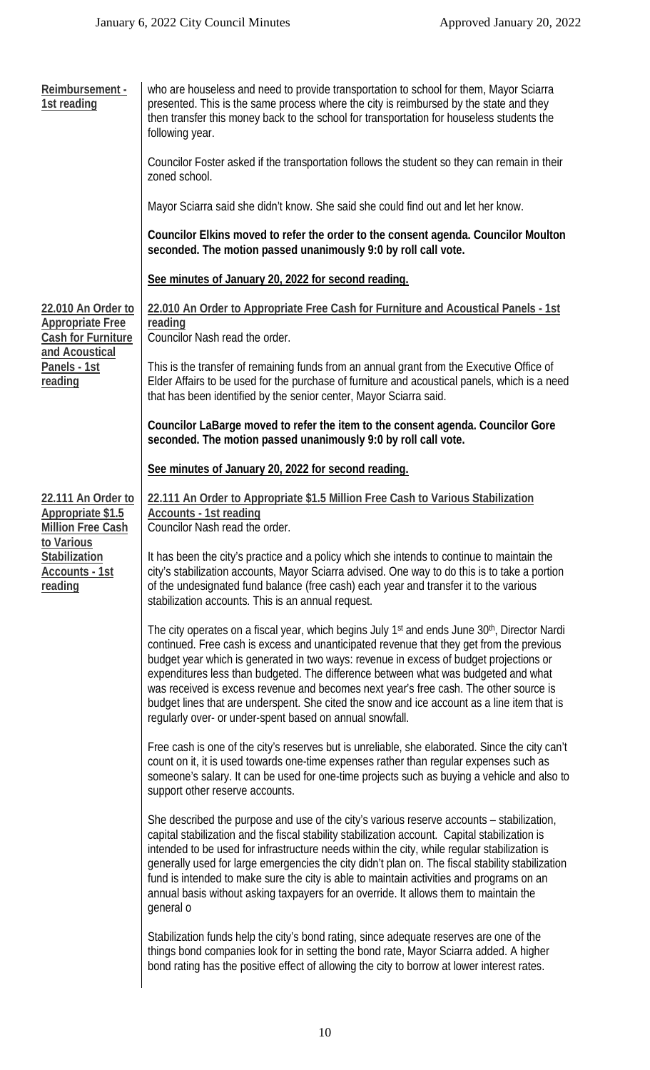| Reimbursement -<br>1st reading                                                                                          | who are houseless and need to provide transportation to school for them, Mayor Sciarra<br>presented. This is the same process where the city is reimbursed by the state and they<br>then transfer this money back to the school for transportation for houseless students the<br>following year.                                                                                                                                                                                                                                                                                                                                                      |
|-------------------------------------------------------------------------------------------------------------------------|-------------------------------------------------------------------------------------------------------------------------------------------------------------------------------------------------------------------------------------------------------------------------------------------------------------------------------------------------------------------------------------------------------------------------------------------------------------------------------------------------------------------------------------------------------------------------------------------------------------------------------------------------------|
|                                                                                                                         | Councilor Foster asked if the transportation follows the student so they can remain in their<br>zoned school.                                                                                                                                                                                                                                                                                                                                                                                                                                                                                                                                         |
|                                                                                                                         | Mayor Sciarra said she didn't know. She said she could find out and let her know.                                                                                                                                                                                                                                                                                                                                                                                                                                                                                                                                                                     |
|                                                                                                                         | Councilor Elkins moved to refer the order to the consent agenda. Councilor Moulton<br>seconded. The motion passed unanimously 9:0 by roll call vote.                                                                                                                                                                                                                                                                                                                                                                                                                                                                                                  |
|                                                                                                                         | See minutes of January 20, 2022 for second reading.                                                                                                                                                                                                                                                                                                                                                                                                                                                                                                                                                                                                   |
| 22.010 An Order to<br><b>Appropriate Free</b><br><b>Cash for Furniture</b><br>and Acoustical<br>Panels - 1st<br>reading | 22.010 An Order to Appropriate Free Cash for Furniture and Acoustical Panels - 1st<br>reading<br>Councilor Nash read the order.                                                                                                                                                                                                                                                                                                                                                                                                                                                                                                                       |
|                                                                                                                         | This is the transfer of remaining funds from an annual grant from the Executive Office of<br>Elder Affairs to be used for the purchase of furniture and acoustical panels, which is a need<br>that has been identified by the senior center, Mayor Sciarra said.                                                                                                                                                                                                                                                                                                                                                                                      |
|                                                                                                                         | Councilor LaBarge moved to refer the item to the consent agenda. Councilor Gore<br>seconded. The motion passed unanimously 9:0 by roll call vote.                                                                                                                                                                                                                                                                                                                                                                                                                                                                                                     |
|                                                                                                                         | See minutes of January 20, 2022 for second reading.                                                                                                                                                                                                                                                                                                                                                                                                                                                                                                                                                                                                   |
| 22.111 An Order to<br>Appropriate \$1.5<br><b>Million Free Cash</b>                                                     | 22.111 An Order to Appropriate \$1.5 Million Free Cash to Various Stabilization<br><b>Accounts - 1st reading</b><br>Councilor Nash read the order.                                                                                                                                                                                                                                                                                                                                                                                                                                                                                                    |
| to Various<br>Stabilization<br>Accounts - 1st<br>reading                                                                | It has been the city's practice and a policy which she intends to continue to maintain the<br>city's stabilization accounts, Mayor Sciarra advised. One way to do this is to take a portion<br>of the undesignated fund balance (free cash) each year and transfer it to the various<br>stabilization accounts. This is an annual request.                                                                                                                                                                                                                                                                                                            |
|                                                                                                                         | The city operates on a fiscal year, which begins July 1 <sup>st</sup> and ends June 30 <sup>th</sup> , Director Nardi<br>continued. Free cash is excess and unanticipated revenue that they get from the previous<br>budget year which is generated in two ways: revenue in excess of budget projections or<br>expenditures less than budgeted. The difference between what was budgeted and what<br>was received is excess revenue and becomes next year's free cash. The other source is<br>budget lines that are underspent. She cited the snow and ice account as a line item that is<br>regularly over- or under-spent based on annual snowfall. |
|                                                                                                                         | Free cash is one of the city's reserves but is unreliable, she elaborated. Since the city can't<br>count on it, it is used towards one-time expenses rather than regular expenses such as<br>someone's salary. It can be used for one-time projects such as buying a vehicle and also to<br>support other reserve accounts.                                                                                                                                                                                                                                                                                                                           |
|                                                                                                                         | She described the purpose and use of the city's various reserve accounts – stabilization,<br>capital stabilization and the fiscal stability stabilization account. Capital stabilization is<br>intended to be used for infrastructure needs within the city, while regular stabilization is<br>generally used for large emergencies the city didn't plan on. The fiscal stability stabilization<br>fund is intended to make sure the city is able to maintain activities and programs on an<br>annual basis without asking taxpayers for an override. It allows them to maintain the<br>qeneral o                                                     |
|                                                                                                                         | Stabilization funds help the city's bond rating, since adequate reserves are one of the<br>things bond companies look for in setting the bond rate, Mayor Sciarra added. A higher<br>bond rating has the positive effect of allowing the city to borrow at lower interest rates.                                                                                                                                                                                                                                                                                                                                                                      |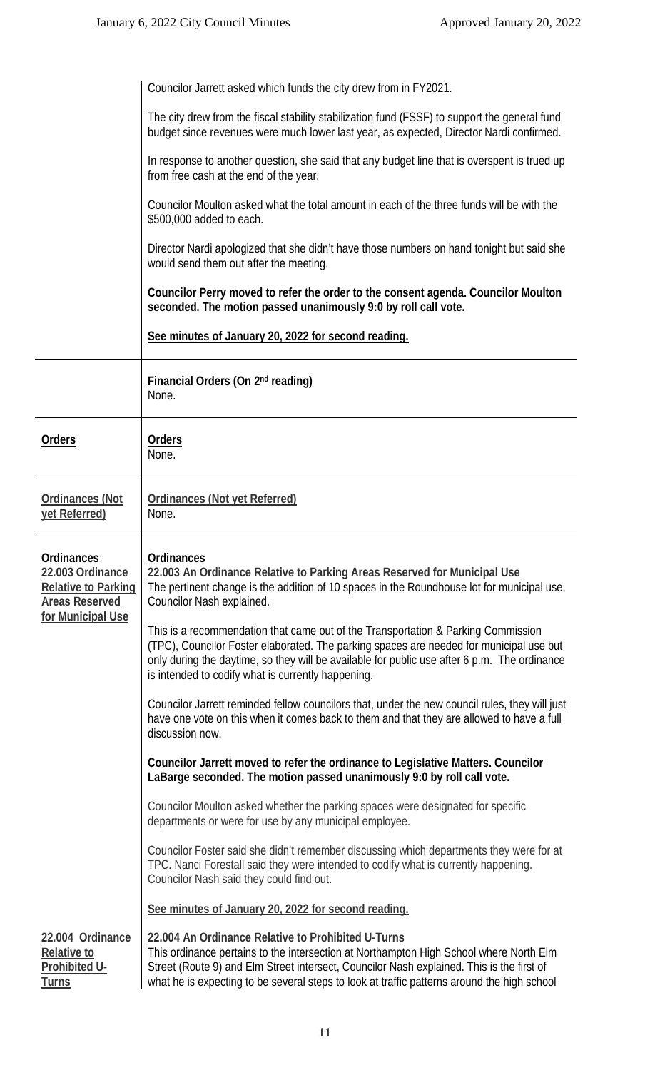|                                                                                                            | Councilor Jarrett asked which funds the city drew from in FY2021.                                                                                                                                                                                                                                                                        |  |
|------------------------------------------------------------------------------------------------------------|------------------------------------------------------------------------------------------------------------------------------------------------------------------------------------------------------------------------------------------------------------------------------------------------------------------------------------------|--|
|                                                                                                            | The city drew from the fiscal stability stabilization fund (FSSF) to support the general fund<br>budget since revenues were much lower last year, as expected, Director Nardi confirmed.                                                                                                                                                 |  |
|                                                                                                            | In response to another question, she said that any budget line that is overspent is trued up<br>from free cash at the end of the year.                                                                                                                                                                                                   |  |
|                                                                                                            | Councilor Moulton asked what the total amount in each of the three funds will be with the<br>\$500,000 added to each.                                                                                                                                                                                                                    |  |
|                                                                                                            | Director Nardi apologized that she didn't have those numbers on hand tonight but said she<br>would send them out after the meeting.                                                                                                                                                                                                      |  |
|                                                                                                            | Councilor Perry moved to refer the order to the consent agenda. Councilor Moulton<br>seconded. The motion passed unanimously 9:0 by roll call vote.                                                                                                                                                                                      |  |
|                                                                                                            | See minutes of January 20, 2022 for second reading.                                                                                                                                                                                                                                                                                      |  |
|                                                                                                            | <b>Financial Orders (On 2nd reading)</b><br>None.                                                                                                                                                                                                                                                                                        |  |
| <b>Orders</b>                                                                                              | <b>Orders</b><br>None.                                                                                                                                                                                                                                                                                                                   |  |
| <b>Ordinances (Not</b><br>yet Referred)                                                                    | Ordinances (Not yet Referred)<br>None.                                                                                                                                                                                                                                                                                                   |  |
| Ordinances<br>22.003 Ordinance<br><b>Relative to Parking</b><br><b>Areas Reserved</b><br>for Municipal Use | Ordinances<br>22.003 An Ordinance Relative to Parking Areas Reserved for Municipal Use<br>The pertinent change is the addition of 10 spaces in the Roundhouse lot for municipal use,<br>Councilor Nash explained.                                                                                                                        |  |
|                                                                                                            | This is a recommendation that came out of the Transportation & Parking Commission<br>(TPC), Councilor Foster elaborated. The parking spaces are needed for municipal use but<br>only during the daytime, so they will be available for public use after 6 p.m. The ordinance<br>is intended to codify what is currently happening.       |  |
|                                                                                                            | Councilor Jarrett reminded fellow councilors that, under the new council rules, they will just<br>have one vote on this when it comes back to them and that they are allowed to have a full<br>discussion now.                                                                                                                           |  |
|                                                                                                            | Councilor Jarrett moved to refer the ordinance to Legislative Matters. Councilor<br>LaBarge seconded. The motion passed unanimously 9:0 by roll call vote.                                                                                                                                                                               |  |
|                                                                                                            | Councilor Moulton asked whether the parking spaces were designated for specific<br>departments or were for use by any municipal employee.                                                                                                                                                                                                |  |
|                                                                                                            | Councilor Foster said she didn't remember discussing which departments they were for at<br>TPC. Nanci Forestall said they were intended to codify what is currently happening.<br>Councilor Nash said they could find out.                                                                                                               |  |
|                                                                                                            | See minutes of January 20, 2022 for second reading.                                                                                                                                                                                                                                                                                      |  |
| 22.004 Ordinance<br><b>Relative to</b><br>Prohibited U-<br><b>Turns</b>                                    | 22.004 An Ordinance Relative to Prohibited U-Turns<br>This ordinance pertains to the intersection at Northampton High School where North Elm<br>Street (Route 9) and Elm Street intersect, Councilor Nash explained. This is the first of<br>what he is expecting to be several steps to look at traffic patterns around the high school |  |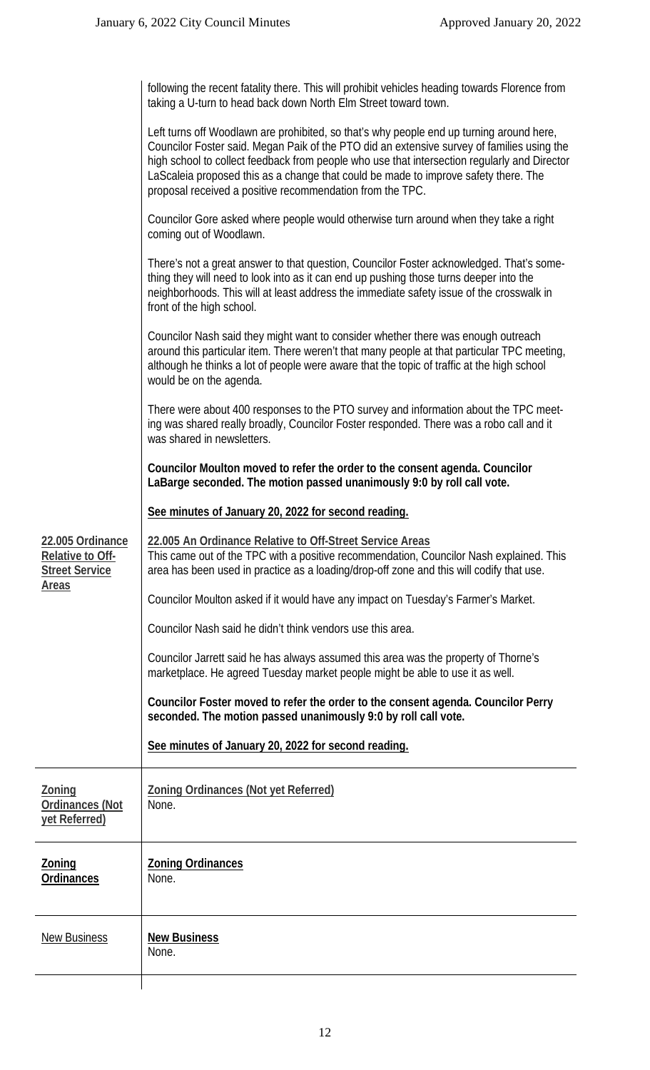|                                                                      | following the recent fatality there. This will prohibit vehicles heading towards Florence from<br>taking a U-turn to head back down North Elm Street toward town.                                                                                                                                                                                                                                                                          |
|----------------------------------------------------------------------|--------------------------------------------------------------------------------------------------------------------------------------------------------------------------------------------------------------------------------------------------------------------------------------------------------------------------------------------------------------------------------------------------------------------------------------------|
|                                                                      | Left turns off Woodlawn are prohibited, so that's why people end up turning around here,<br>Councilor Foster said. Megan Paik of the PTO did an extensive survey of families using the<br>high school to collect feedback from people who use that intersection regularly and Director<br>LaScaleia proposed this as a change that could be made to improve safety there. The<br>proposal received a positive recommendation from the TPC. |
|                                                                      | Councilor Gore asked where people would otherwise turn around when they take a right<br>coming out of Woodlawn.                                                                                                                                                                                                                                                                                                                            |
|                                                                      | There's not a great answer to that question, Councilor Foster acknowledged. That's some-<br>thing they will need to look into as it can end up pushing those turns deeper into the<br>neighborhoods. This will at least address the immediate safety issue of the crosswalk in<br>front of the high school.                                                                                                                                |
|                                                                      | Councilor Nash said they might want to consider whether there was enough outreach<br>around this particular item. There weren't that many people at that particular TPC meeting,<br>although he thinks a lot of people were aware that the topic of traffic at the high school<br>would be on the agenda.                                                                                                                                  |
|                                                                      | There were about 400 responses to the PTO survey and information about the TPC meet-<br>ing was shared really broadly, Councilor Foster responded. There was a robo call and it<br>was shared in newsletters.                                                                                                                                                                                                                              |
|                                                                      | Councilor Moulton moved to refer the order to the consent agenda. Councilor<br>LaBarge seconded. The motion passed unanimously 9:0 by roll call vote.                                                                                                                                                                                                                                                                                      |
|                                                                      | See minutes of January 20, 2022 for second reading.                                                                                                                                                                                                                                                                                                                                                                                        |
| 22.005 Ordinance<br><b>Relative to Off-</b><br><b>Street Service</b> | 22.005 An Ordinance Relative to Off-Street Service Areas<br>This came out of the TPC with a positive recommendation, Councilor Nash explained. This<br>area has been used in practice as a loading/drop-off zone and this will codify that use.                                                                                                                                                                                            |
| <u>Areas</u>                                                         | Councilor Moulton asked if it would have any impact on Tuesday's Farmer's Market.                                                                                                                                                                                                                                                                                                                                                          |
|                                                                      | Councilor Nash said he didn't think vendors use this area.                                                                                                                                                                                                                                                                                                                                                                                 |
|                                                                      | Councilor Jarrett said he has always assumed this area was the property of Thorne's<br>marketplace. He agreed Tuesday market people might be able to use it as well.                                                                                                                                                                                                                                                                       |
|                                                                      | Councilor Foster moved to refer the order to the consent agenda. Councilor Perry<br>seconded. The motion passed unanimously 9:0 by roll call vote.                                                                                                                                                                                                                                                                                         |
|                                                                      | See minutes of January 20, 2022 for second reading.                                                                                                                                                                                                                                                                                                                                                                                        |
| <b>Zoning</b><br><b>Ordinances (Not</b><br>yet Referred)             | <b>Zoning Ordinances (Not yet Referred)</b><br>None.                                                                                                                                                                                                                                                                                                                                                                                       |
| <b>Zoning</b><br><b>Ordinances</b>                                   | <b>Zoning Ordinances</b><br>None.                                                                                                                                                                                                                                                                                                                                                                                                          |
| <b>New Business</b>                                                  | <b>New Business</b><br>None.                                                                                                                                                                                                                                                                                                                                                                                                               |

 $\mathsf{l}$